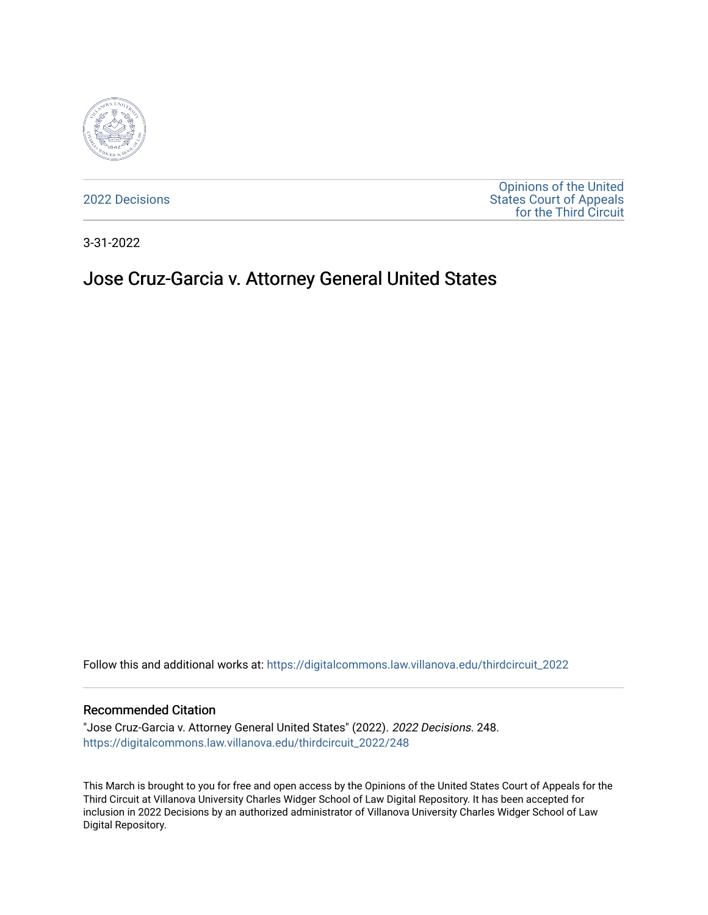

[2022 Decisions](https://digitalcommons.law.villanova.edu/thirdcircuit_2022)

[Opinions of the United](https://digitalcommons.law.villanova.edu/thirdcircuit)  [States Court of Appeals](https://digitalcommons.law.villanova.edu/thirdcircuit)  [for the Third Circuit](https://digitalcommons.law.villanova.edu/thirdcircuit) 

3-31-2022

# Jose Cruz-Garcia v. Attorney General United States

Follow this and additional works at: [https://digitalcommons.law.villanova.edu/thirdcircuit\\_2022](https://digitalcommons.law.villanova.edu/thirdcircuit_2022?utm_source=digitalcommons.law.villanova.edu%2Fthirdcircuit_2022%2F248&utm_medium=PDF&utm_campaign=PDFCoverPages) 

#### Recommended Citation

"Jose Cruz-Garcia v. Attorney General United States" (2022). 2022 Decisions. 248. [https://digitalcommons.law.villanova.edu/thirdcircuit\\_2022/248](https://digitalcommons.law.villanova.edu/thirdcircuit_2022/248?utm_source=digitalcommons.law.villanova.edu%2Fthirdcircuit_2022%2F248&utm_medium=PDF&utm_campaign=PDFCoverPages)

This March is brought to you for free and open access by the Opinions of the United States Court of Appeals for the Third Circuit at Villanova University Charles Widger School of Law Digital Repository. It has been accepted for inclusion in 2022 Decisions by an authorized administrator of Villanova University Charles Widger School of Law Digital Repository.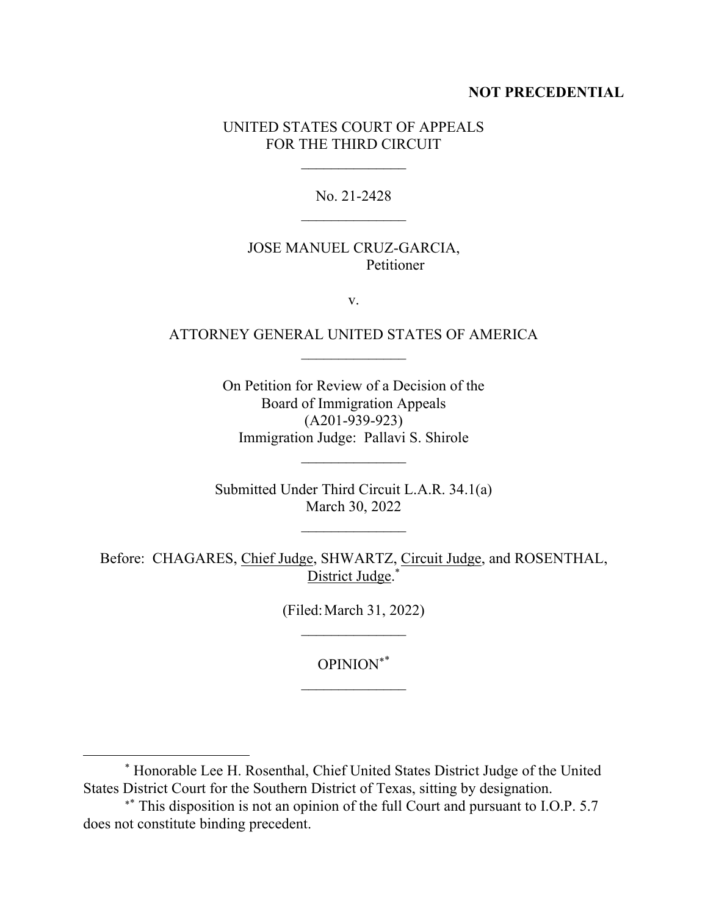### **NOT PRECEDENTIAL**

## UNITED STATES COURT OF APPEALS FOR THE THIRD CIRCUIT

No. 21-2428

## JOSE MANUEL CRUZ-GARCIA, Petitioner

v.

# ATTORNEY GENERAL UNITED STATES OF AMERICA  $\mathcal{L}_\text{max}$

On Petition for Review of a Decision of the Board of Immigration Appeals (A201-939-923) Immigration Judge: Pallavi S. Shirole

Submitted Under Third Circuit L.A.R. 34.1(a) March 30, 2022

Before: CHAGARES, Chief Judge, SHWARTZ, Circuit Judge, and ROSENTHAL, District Judge.\*

> (Filed:March 31, 2022)  $\frac{1}{2}$

> > OPINION\*

<sup>\*</sup> Honorable Lee H. Rosenthal, Chief United States District Judge of the United States District Court for the Southern District of Texas, sitting by designation.

<sup>\*\*</sup> This disposition is not an opinion of the full Court and pursuant to I.O.P. 5.7 does not constitute binding precedent.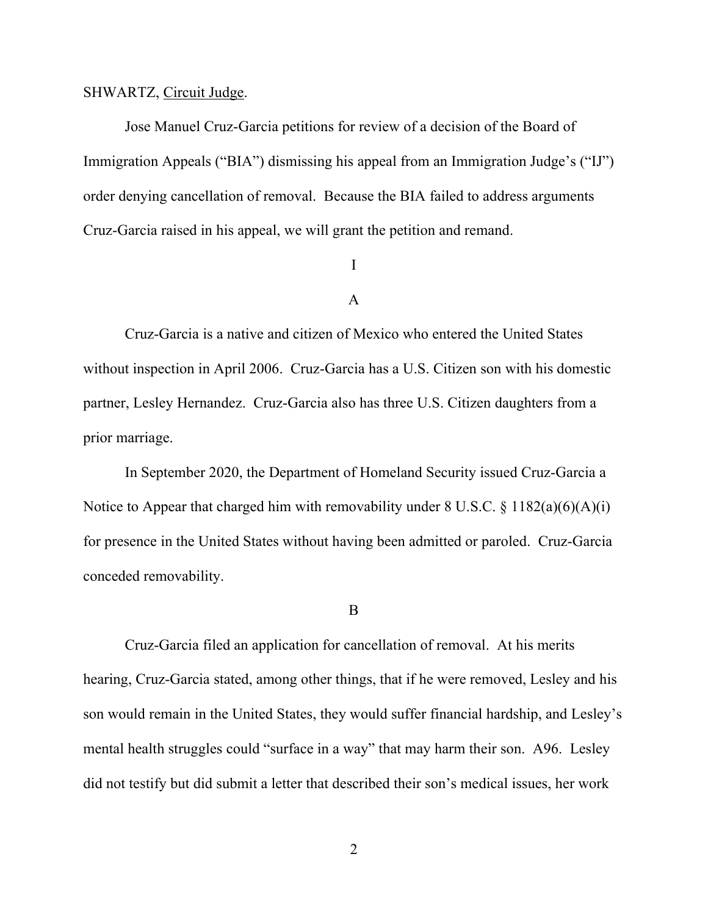#### SHWARTZ, Circuit Judge.

Jose Manuel Cruz-Garcia petitions for review of a decision of the Board of Immigration Appeals ("BIA") dismissing his appeal from an Immigration Judge's ("IJ") order denying cancellation of removal. Because the BIA failed to address arguments Cruz-Garcia raised in his appeal, we will grant the petition and remand.

### I

### A

Cruz-Garcia is a native and citizen of Mexico who entered the United States without inspection in April 2006. Cruz-Garcia has a U.S. Citizen son with his domestic partner, Lesley Hernandez. Cruz-Garcia also has three U.S. Citizen daughters from a prior marriage.

In September 2020, the Department of Homeland Security issued Cruz-Garcia a Notice to Appear that charged him with removability under  $8 \text{ U.S.C.} \$ § 1182(a)(6)(A)(i) for presence in the United States without having been admitted or paroled. Cruz-Garcia conceded removability.

#### B

Cruz-Garcia filed an application for cancellation of removal. At his merits hearing, Cruz-Garcia stated, among other things, that if he were removed, Lesley and his son would remain in the United States, they would suffer financial hardship, and Lesley's mental health struggles could "surface in a way" that may harm their son. A96. Lesley did not testify but did submit a letter that described their son's medical issues, her work

2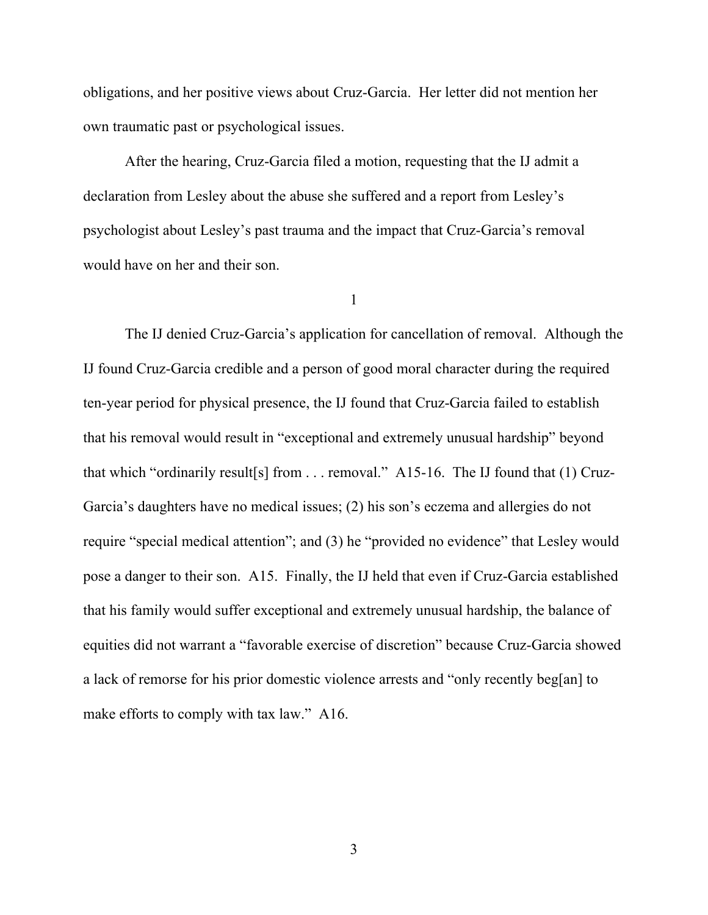obligations, and her positive views about Cruz-Garcia. Her letter did not mention her own traumatic past or psychological issues.

After the hearing, Cruz-Garcia filed a motion, requesting that the IJ admit a declaration from Lesley about the abuse she suffered and a report from Lesley's psychologist about Lesley's past trauma and the impact that Cruz-Garcia's removal would have on her and their son.

1

The IJ denied Cruz-Garcia's application for cancellation of removal. Although the IJ found Cruz-Garcia credible and a person of good moral character during the required ten-year period for physical presence, the IJ found that Cruz-Garcia failed to establish that his removal would result in "exceptional and extremely unusual hardship" beyond that which "ordinarily result[s] from  $\dots$  removal." A15-16. The IJ found that (1) Cruz-Garcia's daughters have no medical issues; (2) his son's eczema and allergies do not require "special medical attention"; and (3) he "provided no evidence" that Lesley would pose a danger to their son. A15. Finally, the IJ held that even if Cruz-Garcia established that his family would suffer exceptional and extremely unusual hardship, the balance of equities did not warrant a "favorable exercise of discretion" because Cruz-Garcia showed a lack of remorse for his prior domestic violence arrests and "only recently beg[an] to make efforts to comply with tax law." A16.

3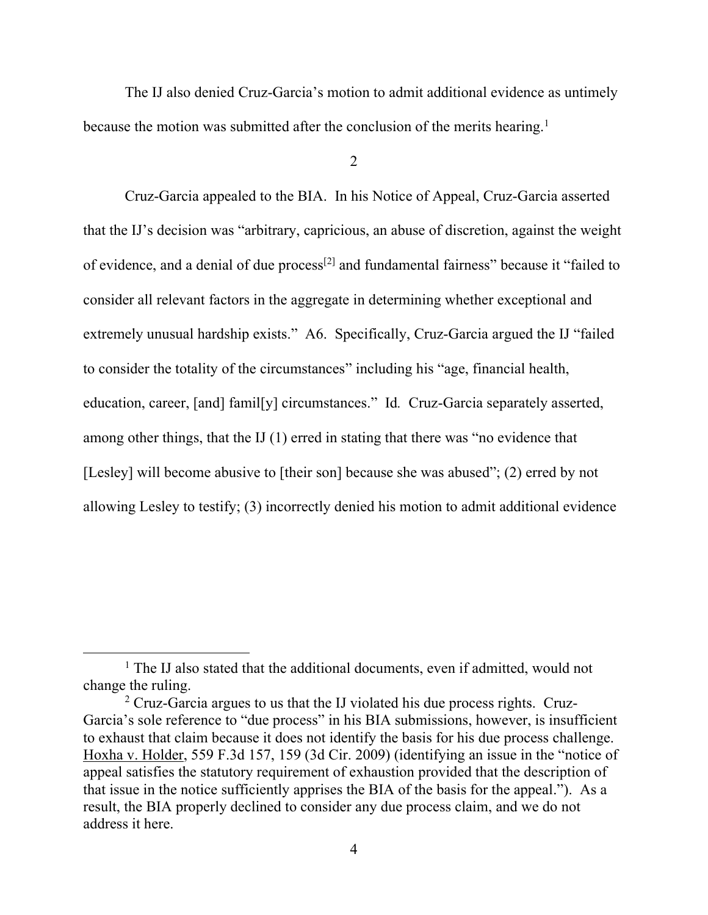The IJ also denied Cruz-Garcia's motion to admit additional evidence as untimely because the motion was submitted after the conclusion of the merits hearing.<sup>1</sup>

 $\mathcal{L}$ 

Cruz-Garcia appealed to the BIA. In his Notice of Appeal, Cruz-Garcia asserted that the IJ's decision was "arbitrary, capricious, an abuse of discretion, against the weight of evidence, and a denial of due process<sup>[2]</sup> and fundamental fairness" because it "failed to consider all relevant factors in the aggregate in determining whether exceptional and extremely unusual hardship exists." A6. Specifically, Cruz-Garcia argued the IJ "failed to consider the totality of the circumstances" including his "age, financial health, education, career, [and] famil[y] circumstances." Id*.* Cruz-Garcia separately asserted, among other things, that the IJ (1) erred in stating that there was "no evidence that [Lesley] will become abusive to [their son] because she was abused"; (2) erred by not allowing Lesley to testify; (3) incorrectly denied his motion to admit additional evidence

<sup>&</sup>lt;sup>1</sup> The IJ also stated that the additional documents, even if admitted, would not change the ruling.

<sup>&</sup>lt;sup>2</sup> Cruz-Garcia argues to us that the IJ violated his due process rights. Cruz-Garcia's sole reference to "due process" in his BIA submissions, however, is insufficient to exhaust that claim because it does not identify the basis for his due process challenge. Hoxha v. Holder, 559 F.3d 157, 159 (3d Cir. 2009) (identifying an issue in the "notice of appeal satisfies the statutory requirement of exhaustion provided that the description of that issue in the notice sufficiently apprises the BIA of the basis for the appeal."). As a result, the BIA properly declined to consider any due process claim, and we do not address it here.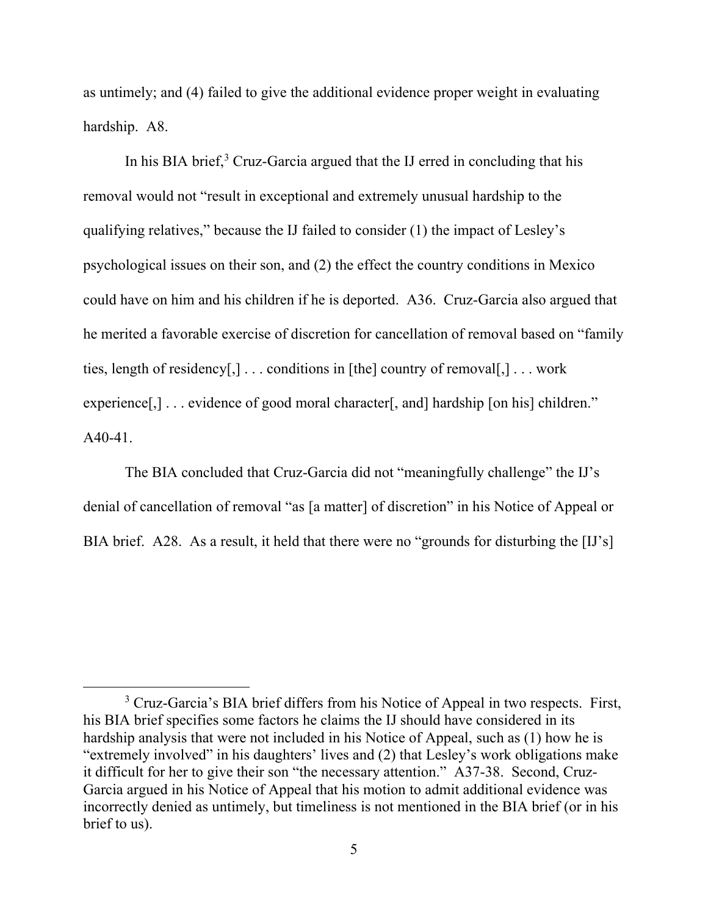as untimely; and (4) failed to give the additional evidence proper weight in evaluating hardship. A8.

In his BIA brief, $3$  Cruz-Garcia argued that the IJ erred in concluding that his removal would not "result in exceptional and extremely unusual hardship to the qualifying relatives," because the IJ failed to consider (1) the impact of Lesley's psychological issues on their son, and (2) the effect the country conditions in Mexico could have on him and his children if he is deported. A36. Cruz-Garcia also argued that he merited a favorable exercise of discretion for cancellation of removal based on "family ties, length of residency[,]  $\ldots$  conditions in [the] country of removal[,]  $\ldots$  work experience[,] . . . evidence of good moral character[, and] hardship [on his] children." A40-41.

The BIA concluded that Cruz-Garcia did not "meaningfully challenge" the IJ's denial of cancellation of removal "as [a matter] of discretion" in his Notice of Appeal or BIA brief. A28. As a result, it held that there were no "grounds for disturbing the [IJ's]

<sup>&</sup>lt;sup>3</sup> Cruz-Garcia's BIA brief differs from his Notice of Appeal in two respects. First, his BIA brief specifies some factors he claims the IJ should have considered in its hardship analysis that were not included in his Notice of Appeal, such as (1) how he is "extremely involved" in his daughters' lives and (2) that Lesley's work obligations make it difficult for her to give their son "the necessary attention." A37-38. Second, Cruz-Garcia argued in his Notice of Appeal that his motion to admit additional evidence was incorrectly denied as untimely, but timeliness is not mentioned in the BIA brief (or in his brief to us).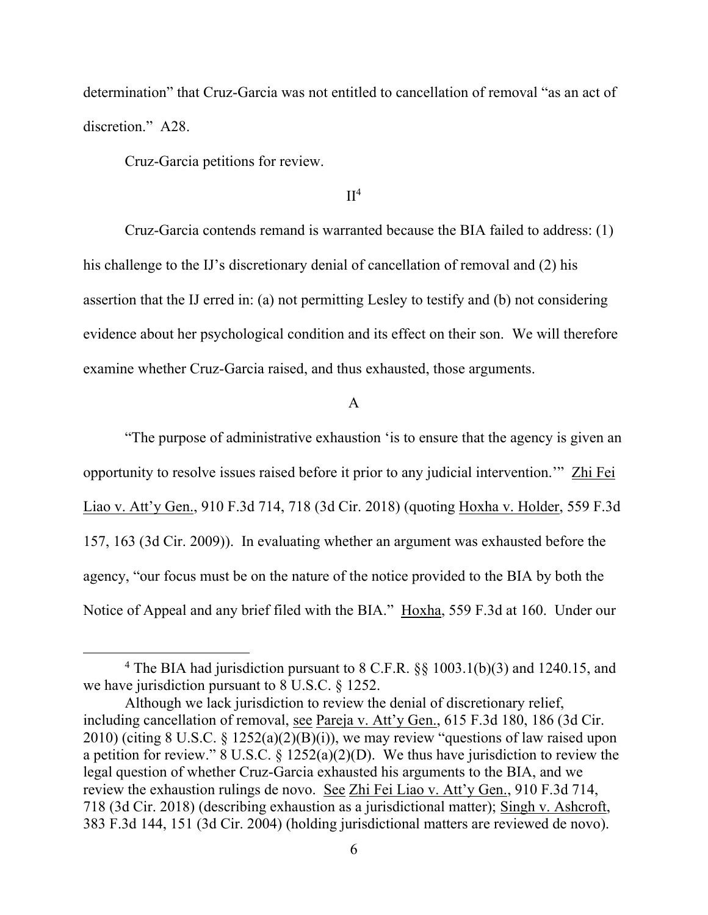determination" that Cruz-Garcia was not entitled to cancellation of removal "as an act of discretion." A28.

Cruz-Garcia petitions for review.

### $II<sup>4</sup>$

Cruz-Garcia contends remand is warranted because the BIA failed to address: (1) his challenge to the IJ's discretionary denial of cancellation of removal and (2) his assertion that the IJ erred in: (a) not permitting Lesley to testify and (b) not considering evidence about her psychological condition and its effect on their son. We will therefore examine whether Cruz-Garcia raised, and thus exhausted, those arguments.

### A

"The purpose of administrative exhaustion 'is to ensure that the agency is given an opportunity to resolve issues raised before it prior to any judicial intervention.'" Zhi Fei Liao v. Att'y Gen., 910 F.3d 714, 718 (3d Cir. 2018) (quoting Hoxha v. Holder, 559 F.3d 157, 163 (3d Cir. 2009)). In evaluating whether an argument was exhausted before the agency, "our focus must be on the nature of the notice provided to the BIA by both the Notice of Appeal and any brief filed with the BIA." Hoxha, 559 F.3d at 160. Under our

<sup>4</sup> The BIA had jurisdiction pursuant to 8 C.F.R. §§ 1003.1(b)(3) and 1240.15, and we have jurisdiction pursuant to 8 U.S.C. § 1252.

Although we lack jurisdiction to review the denial of discretionary relief, including cancellation of removal, see Pareja v. Att'y Gen., 615 F.3d 180, 186 (3d Cir. 2010) (citing 8 U.S.C.  $\S$  1252(a)(2)(B)(i)), we may review "questions of law raised upon a petition for review." 8 U.S.C. §  $1252(a)(2)(D)$ . We thus have jurisdiction to review the legal question of whether Cruz-Garcia exhausted his arguments to the BIA, and we review the exhaustion rulings de novo. See Zhi Fei Liao v. Att'y Gen., 910 F.3d 714, 718 (3d Cir. 2018) (describing exhaustion as a jurisdictional matter); Singh v. Ashcroft, 383 F.3d 144, 151 (3d Cir. 2004) (holding jurisdictional matters are reviewed de novo).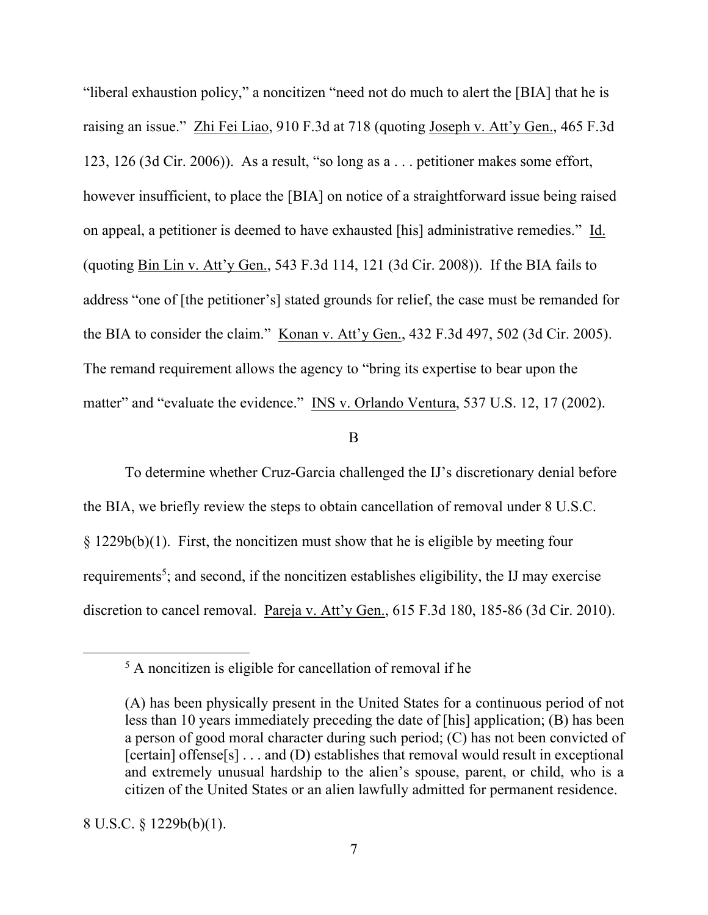"liberal exhaustion policy," a noncitizen "need not do much to alert the [BIA] that he is raising an issue." Zhi Fei Liao, 910 F.3d at 718 (quoting Joseph v. Att'y Gen., 465 F.3d 123, 126 (3d Cir. 2006)). As a result, "so long as a . . . petitioner makes some effort, however insufficient, to place the [BIA] on notice of a straightforward issue being raised on appeal, a petitioner is deemed to have exhausted [his] administrative remedies." Id. (quoting Bin Lin v. Att'y Gen., 543 F.3d 114, 121 (3d Cir. 2008)). If the BIA fails to address "one of [the petitioner's] stated grounds for relief, the case must be remanded for the BIA to consider the claim." Konan v. Att'y Gen., 432 F.3d 497, 502 (3d Cir. 2005). The remand requirement allows the agency to "bring its expertise to bear upon the matter" and "evaluate the evidence." INS v. Orlando Ventura, 537 U.S. 12, 17 (2002).

B

To determine whether Cruz-Garcia challenged the IJ's discretionary denial before the BIA, we briefly review the steps to obtain cancellation of removal under 8 U.S.C. § 1229b(b)(1). First, the noncitizen must show that he is eligible by meeting four requirements<sup>5</sup>; and second, if the noncitizen establishes eligibility, the IJ may exercise discretion to cancel removal. Pareja v. Att'y Gen., 615 F.3d 180, 185-86 (3d Cir. 2010).

 $<sup>5</sup>$  A noncitizen is eligible for cancellation of removal if he</sup>

<sup>(</sup>A) has been physically present in the United States for a continuous period of not less than 10 years immediately preceding the date of [his] application; (B) has been a person of good moral character during such period; (C) has not been convicted of [certain] offense[s]  $\dots$  and (D) establishes that removal would result in exceptional and extremely unusual hardship to the alien's spouse, parent, or child, who is a citizen of the United States or an alien lawfully admitted for permanent residence.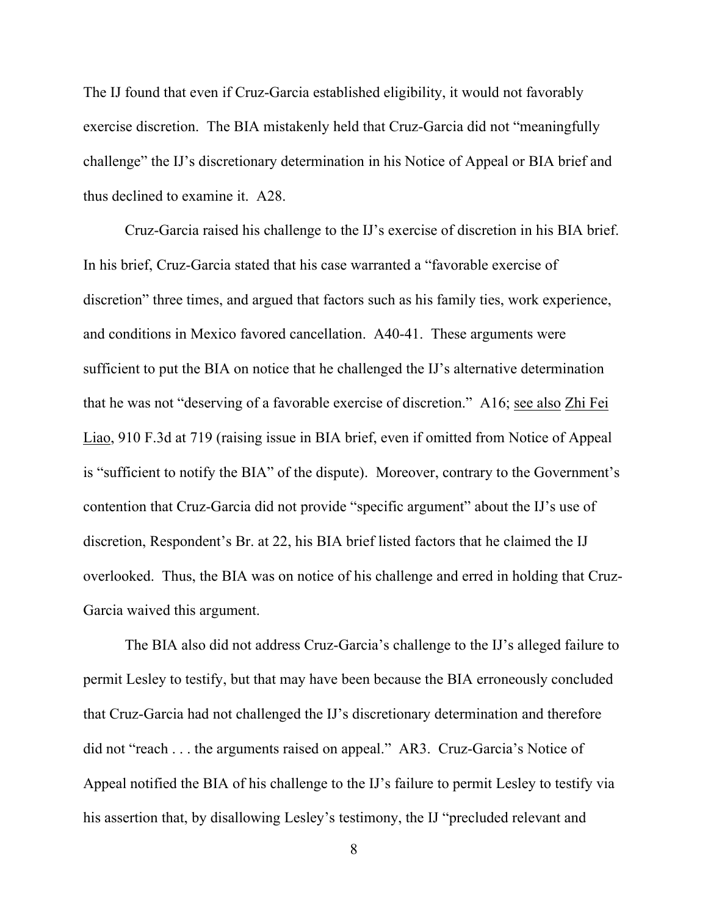The IJ found that even if Cruz-Garcia established eligibility, it would not favorably exercise discretion. The BIA mistakenly held that Cruz-Garcia did not "meaningfully challenge" the IJ's discretionary determination in his Notice of Appeal or BIA brief and thus declined to examine it. A28.

Cruz-Garcia raised his challenge to the IJ's exercise of discretion in his BIA brief. In his brief, Cruz-Garcia stated that his case warranted a "favorable exercise of discretion" three times, and argued that factors such as his family ties, work experience, and conditions in Mexico favored cancellation. A40-41. These arguments were sufficient to put the BIA on notice that he challenged the IJ's alternative determination that he was not "deserving of a favorable exercise of discretion." A16; see also Zhi Fei Liao, 910 F.3d at 719 (raising issue in BIA brief, even if omitted from Notice of Appeal is "sufficient to notify the BIA" of the dispute). Moreover, contrary to the Government's contention that Cruz-Garcia did not provide "specific argument" about the IJ's use of discretion, Respondent's Br. at 22, his BIA brief listed factors that he claimed the IJ overlooked. Thus, the BIA was on notice of his challenge and erred in holding that Cruz-Garcia waived this argument.

The BIA also did not address Cruz-Garcia's challenge to the IJ's alleged failure to permit Lesley to testify, but that may have been because the BIA erroneously concluded that Cruz-Garcia had not challenged the IJ's discretionary determination and therefore did not "reach . . . the arguments raised on appeal." AR3. Cruz-Garcia's Notice of Appeal notified the BIA of his challenge to the IJ's failure to permit Lesley to testify via his assertion that, by disallowing Lesley's testimony, the IJ "precluded relevant and

8